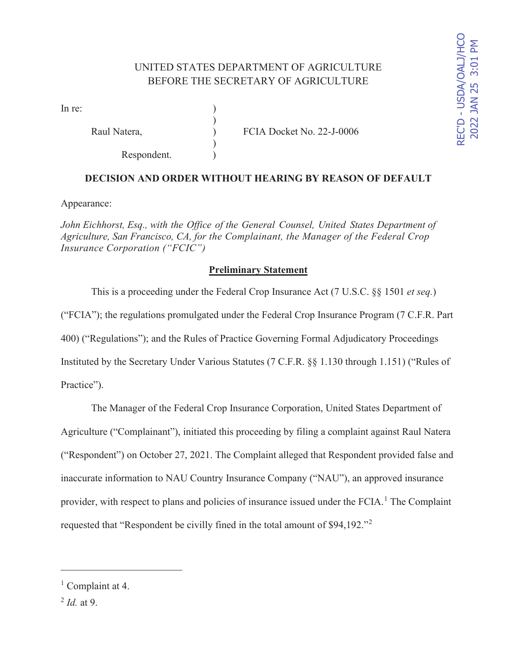# UNITED STATES DEPARTMENT OF AGRICULTURE BEFORE THE SECRETARY OF AGRICULTURE

 $\mathcal{L}$ 

)

In re:

Respondent.

Raul Natera,  $\overline{CIA}$  Docket No. 22-J-0006

## **DECISION AND ORDER WITHOUT HEARING BY REASON OF DEFAULT**

Appearance:

*John Eichhorst, Esq., with the Office of the General Counsel, United States Department of Agriculture, San Francisco, CA, for the Complainant, the Manager of the Federal Crop Insurance Corporation ("FCIC")* 

### **Preliminary Statement**

 This is a proceeding under the Federal Crop Insurance Act (7 U.S.C. §§ 1501 *et seq.*) ("FCIA"); the regulations promulgated under the Federal Crop Insurance Program (7 C.F.R. Part 400) ("Regulations"); and the Rules of Practice Governing Formal Adjudicatory Proceedings Instituted by the Secretary Under Various Statutes (7 C.F.R. §§ 1.130 through 1.151) ("Rules of Practice").

 The Manager of the Federal Crop Insurance Corporation, United States Department of Agriculture ("Complainant"), initiated this proceeding by filing a complaint against Raul Natera ("Respondent") on October 27, 2021. The Complaint alleged that Respondent provided false and inaccurate information to NAU Country Insurance Company ("NAU"), an approved insurance provider, with respect to plans and policies of insurance issued under the FCIA.<sup>1</sup> The Complaint requested that "Respondent be civilly fined in the total amount of \$94,192."<sup>2</sup>

<sup>&</sup>lt;sup>1</sup> Complaint at 4.

<sup>2</sup> *Id.* at 9.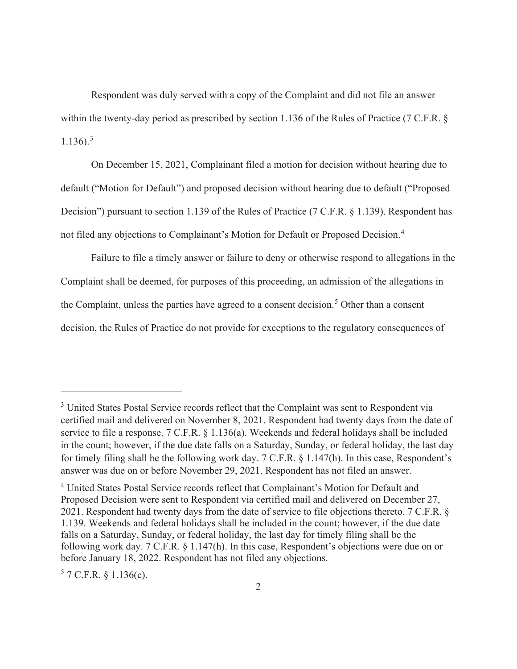Respondent was duly served with a copy of the Complaint and did not file an answer within the twenty-day period as prescribed by section 1.136 of the Rules of Practice (7 C.F.R. §  $1.136$ ).<sup>3</sup>

 On December 15, 2021, Complainant filed a motion for decision without hearing due to default ("Motion for Default") and proposed decision without hearing due to default ("Proposed Decision") pursuant to section 1.139 of the Rules of Practice (7 C.F.R. § 1.139). Respondent has not filed any objections to Complainant's Motion for Default or Proposed Decision.<sup>4</sup>

 Failure to file a timely answer or failure to deny or otherwise respond to allegations in the Complaint shall be deemed, for purposes of this proceeding, an admission of the allegations in the Complaint, unless the parties have agreed to a consent decision.<sup>5</sup> Other than a consent decision, the Rules of Practice do not provide for exceptions to the regulatory consequences of

 $57$  C.F.R. § 1.136(c).

<sup>&</sup>lt;sup>3</sup> United States Postal Service records reflect that the Complaint was sent to Respondent via certified mail and delivered on November 8, 2021. Respondent had twenty days from the date of service to file a response. 7 C.F.R. § 1.136(a). Weekends and federal holidays shall be included in the count; however, if the due date falls on a Saturday, Sunday, or federal holiday, the last day for timely filing shall be the following work day. 7 C.F.R. § 1.147(h). In this case, Respondent's answer was due on or before November 29, 2021. Respondent has not filed an answer.

<sup>&</sup>lt;sup>4</sup> United States Postal Service records reflect that Complainant's Motion for Default and Proposed Decision were sent to Respondent via certified mail and delivered on December 27, 2021. Respondent had twenty days from the date of service to file objections thereto. 7 C.F.R. § 1.139. Weekends and federal holidays shall be included in the count; however, if the due date falls on a Saturday, Sunday, or federal holiday, the last day for timely filing shall be the following work day. 7 C.F.R. § 1.147(h). In this case, Respondent's objections were due on or before January 18, 2022. Respondent has not filed any objections.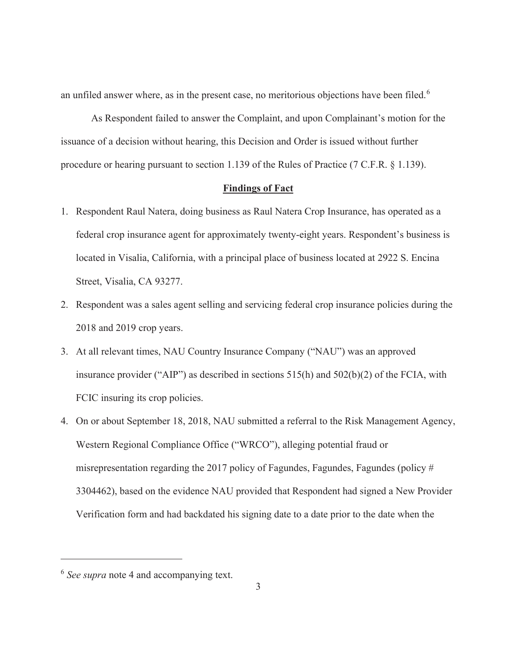an unfiled answer where, as in the present case, no meritorious objections have been filed.<sup>6</sup>

 As Respondent failed to answer the Complaint, and upon Complainant's motion for the issuance of a decision without hearing, this Decision and Order is issued without further procedure or hearing pursuant to section 1.139 of the Rules of Practice (7 C.F.R. § 1.139).

#### **Findings of Fact**

- 1. Respondent Raul Natera, doing business as Raul Natera Crop Insurance, has operated as a federal crop insurance agent for approximately twenty-eight years. Respondent's business is located in Visalia, California, with a principal place of business located at 2922 S. Encina Street, Visalia, CA 93277.
- 2. Respondent was a sales agent selling and servicing federal crop insurance policies during the 2018 and 2019 crop years.
- 3. At all relevant times, NAU Country Insurance Company ("NAU") was an approved insurance provider ("AIP") as described in sections 515(h) and 502(b)(2) of the FCIA, with FCIC insuring its crop policies.
- 4. On or about September 18, 2018, NAU submitted a referral to the Risk Management Agency, Western Regional Compliance Office ("WRCO"), alleging potential fraud or misrepresentation regarding the 2017 policy of Fagundes, Fagundes, Fagundes (policy # 3304462), based on the evidence NAU provided that Respondent had signed a New Provider Verification form and had backdated his signing date to a date prior to the date when the

<sup>6</sup> *See supra* note 4 and accompanying text.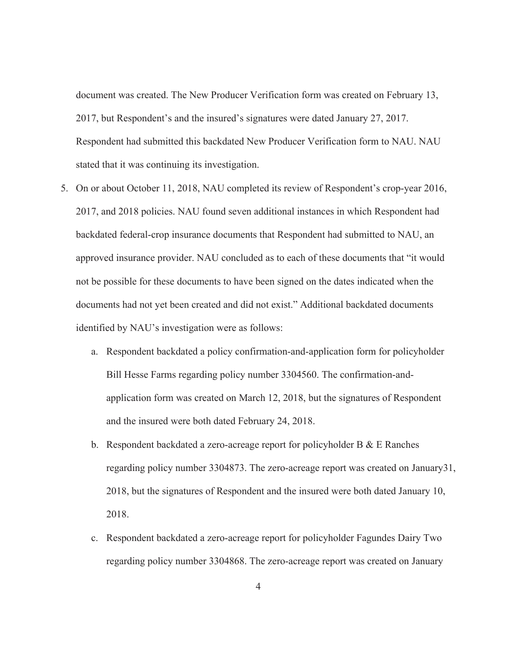document was created. The New Producer Verification form was created on February 13, 2017, but Respondent's and the insured's signatures were dated January 27, 2017. Respondent had submitted this backdated New Producer Verification form to NAU. NAU stated that it was continuing its investigation.

- 5. On or about October 11, 2018, NAU completed its review of Respondent's crop-year 2016, 2017, and 2018 policies. NAU found seven additional instances in which Respondent had backdated federal-crop insurance documents that Respondent had submitted to NAU, an approved insurance provider. NAU concluded as to each of these documents that "it would not be possible for these documents to have been signed on the dates indicated when the documents had not yet been created and did not exist." Additional backdated documents identified by NAU's investigation were as follows:
	- a. Respondent backdated a policy confirmation-and-application form for policyholder Bill Hesse Farms regarding policy number 3304560. The confirmation-andapplication form was created on March 12, 2018, but the signatures of Respondent and the insured were both dated February 24, 2018.
	- b. Respondent backdated a zero-acreage report for policyholder B & E Ranches regarding policy number 3304873. The zero-acreage report was created on January31, 2018, but the signatures of Respondent and the insured were both dated January 10, 2018.
	- c. Respondent backdated a zero-acreage report for policyholder Fagundes Dairy Two regarding policy number 3304868. The zero-acreage report was created on January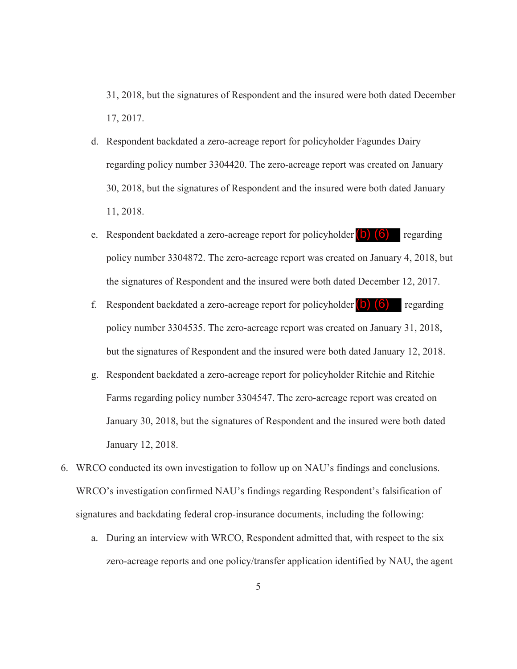31, 2018, but the signatures of Respondent and the insured were both dated December 17, 2017.

- d. Respondent backdated a zero-acreage report for policyholder Fagundes Dairy regarding policy number 3304420. The zero-acreage report was created on January 30, 2018, but the signatures of Respondent and the insured were both dated January 11, 2018.
- e. Respondent backdated a zero-acreage report for policyholder (b) (6) regarding policy number 3304872. The zero-acreage report was created on January 4, 2018, but the signatures of Respondent and the insured were both dated December 12, 2017.
- f. Respondent backdated a zero-acreage report for policyholder  $\begin{pmatrix} 0 \\ 0 \end{pmatrix}$  (6) regarding policy number 3304535. The zero-acreage report was created on January 31, 2018, but the signatures of Respondent and the insured were both dated January 12, 2018.
- g. Respondent backdated a zero-acreage report for policyholder Ritchie and Ritchie Farms regarding policy number 3304547. The zero-acreage report was created on January 30, 2018, but the signatures of Respondent and the insured were both dated January 12, 2018.
- 6. WRCO conducted its own investigation to follow up on NAU's findings and conclusions. WRCO's investigation confirmed NAU's findings regarding Respondent's falsification of signatures and backdating federal crop-insurance documents, including the following:
	- a. During an interview with WRCO, Respondent admitted that, with respect to the six zero-acreage reports and one policy/transfer application identified by NAU, the agent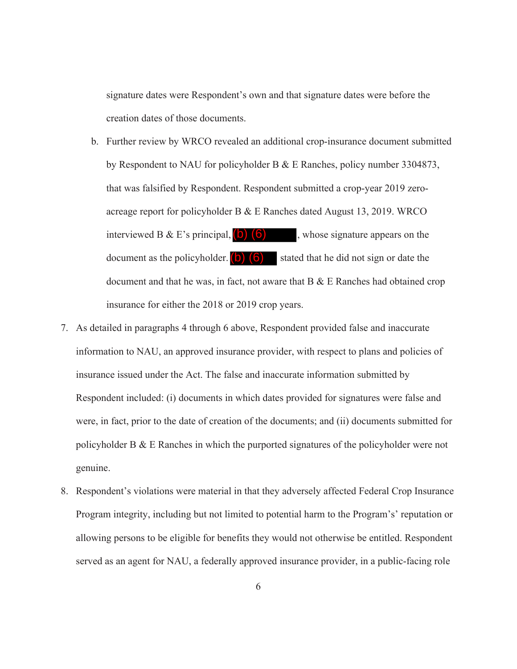signature dates were Respondent's own and that signature dates were before the creation dates of those documents.

- b. Further review by WRCO revealed an additional crop-insurance document submitted by Respondent to NAU for policyholder B & E Ranches, policy number 3304873, that was falsified by Respondent. Respondent submitted a crop-year 2019 zeroacreage report for policyholder B & E Ranches dated August 13, 2019. WRCO interviewed B & E's principal,  $\left(b\right)$  (6) whose signature appears on the document as the policyholder.  $\begin{pmatrix} 0 \\ 0 \end{pmatrix}$  stated that he did not sign or date the document and that he was, in fact, not aware that  $B \& E$  Ranches had obtained crop insurance for either the 2018 or 2019 crop years.
- 7. As detailed in paragraphs 4 through 6 above, Respondent provided false and inaccurate information to NAU, an approved insurance provider, with respect to plans and policies of insurance issued under the Act. The false and inaccurate information submitted by Respondent included: (i) documents in which dates provided for signatures were false and were, in fact, prior to the date of creation of the documents; and (ii) documents submitted for policyholder B & E Ranches in which the purported signatures of the policyholder were not genuine.
- 8. Respondent's violations were material in that they adversely affected Federal Crop Insurance Program integrity, including but not limited to potential harm to the Program's' reputation or allowing persons to be eligible for benefits they would not otherwise be entitled. Respondent served as an agent for NAU, a federally approved insurance provider, in a public-facing role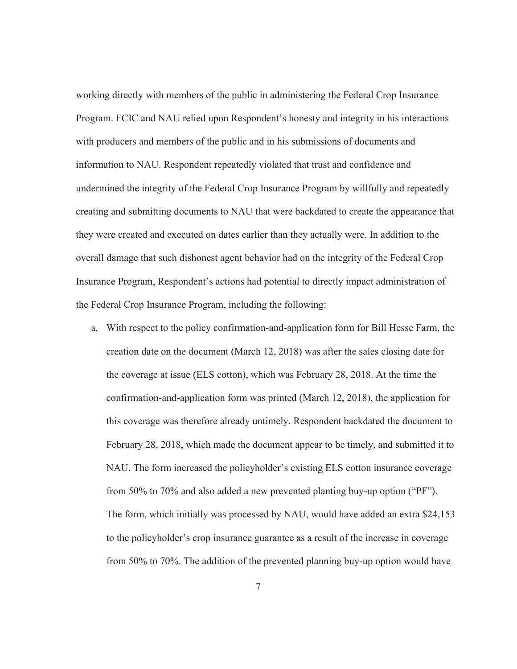working directly with members of the public in administering the Federal Crop Insurance Program. FCIC and NAU relied upon Respondent's honesty and integrity in his interactions with producers and members of the public and in his submissions of documents and information to NAU. Respondent repeatedly violated that trust and confidence and undermined the integrity of the Federal Crop Insurance Program by willfully and repeatedly creating and submitting documents to NAU that were backdated to create the appearance that they were created and executed on dates earlier than they actually were. In addition to the overall damage that such dishonest agent behavior had on the integrity of the Federal Crop Insurance Program, Respondent's actions had potential to directly impact administration of the Federal Crop Insurance Program, including the following:

a. With respect to the policy confirmation-and-application form for Bill Hesse Farm, the creation date on the document (March 12, 2018) was after the sales closing date for the coverage at issue (ELS cotton), which was February 28, 2018. At the time the confirmation-and-application form was printed (March 12, 2018), the application for this coverage was therefore already untimely. Respondent backdated the document to February 28, 2018, which made the document appear to be timely, and submitted it to NAU. The form increased the policyholder's existing ELS cotton insurance coverage from 50% to 70% and also added a new prevented planting buy-up option ("PF"). The form, which initially was processed by NAU, would have added an extra \$24,153 to the policyholder's crop insurance guarantee as a result of the increase in coverage from 50% to 70%. The addition of the prevented planning buy-up option would have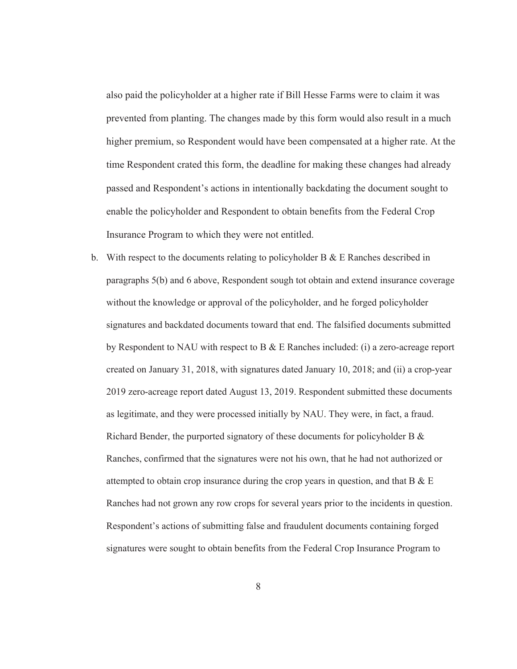also paid the policyholder at a higher rate if Bill Hesse Farms were to claim it was prevented from planting. The changes made by this form would also result in a much higher premium, so Respondent would have been compensated at a higher rate. At the time Respondent crated this form, the deadline for making these changes had already passed and Respondent's actions in intentionally backdating the document sought to enable the policyholder and Respondent to obtain benefits from the Federal Crop Insurance Program to which they were not entitled.

b. With respect to the documents relating to policyholder B  $\&$  E Ranches described in paragraphs 5(b) and 6 above, Respondent sough tot obtain and extend insurance coverage without the knowledge or approval of the policyholder, and he forged policyholder signatures and backdated documents toward that end. The falsified documents submitted by Respondent to NAU with respect to B & E Ranches included: (i) a zero-acreage report created on January 31, 2018, with signatures dated January 10, 2018; and (ii) a crop-year 2019 zero-acreage report dated August 13, 2019. Respondent submitted these documents as legitimate, and they were processed initially by NAU. They were, in fact, a fraud. Richard Bender, the purported signatory of these documents for policyholder B & Ranches, confirmed that the signatures were not his own, that he had not authorized or attempted to obtain crop insurance during the crop years in question, and that  $B \& E$ Ranches had not grown any row crops for several years prior to the incidents in question. Respondent's actions of submitting false and fraudulent documents containing forged signatures were sought to obtain benefits from the Federal Crop Insurance Program to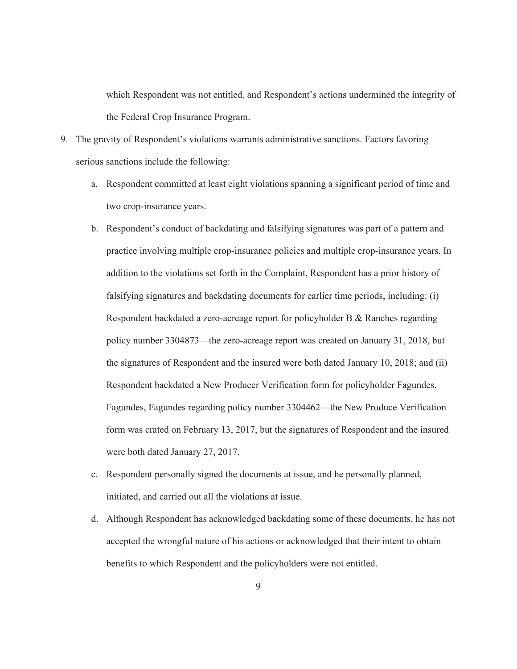which Respondent was not entitled, and Respondent's actions undermined the integrity of the Federal Crop Insurance Program.

- 9. The gravity of Respondent's violations warrants administrative sanctions. Factors favoring serious sanctions include the following:
	- a. Respondent committed at least eight violations spanning a significant period of time and two crop-insurance years.
	- b. Respondent's conduct of backdating and falsifying signatures was part of a pattern and practice involving multiple crop-insurance policies and multiple crop-insurance years. In addition to the violations set forth in the Complaint, Respondent has a prior history of falsifying signatures and backdating documents for earlier time periods, including: (i) Respondent backdated a zero-acreage report for policyholder B & Ranches regarding policy number 3304873—the zero-acreage report was created on January 31, 2018, but the signatures of Respondent and the insured were both dated January 10, 2018; and (ii) Respondent backdated a New Producer Verification form for policyholder Fagundes, Fagundes, Fagundes regarding policy number 3304462—the New Produce Verification form was crated on February 13, 2017, but the signatures of Respondent and the insured were both dated January 27, 2017.
	- c. Respondent personally signed the documents at issue, and he personally planned, initiated, and carried out all the violations at issue.
	- d. Although Respondent has acknowledged backdating some of these documents, he has not accepted the wrongful nature of his actions or acknowledged that their intent to obtain benefits to which Respondent and the policyholders were not entitled.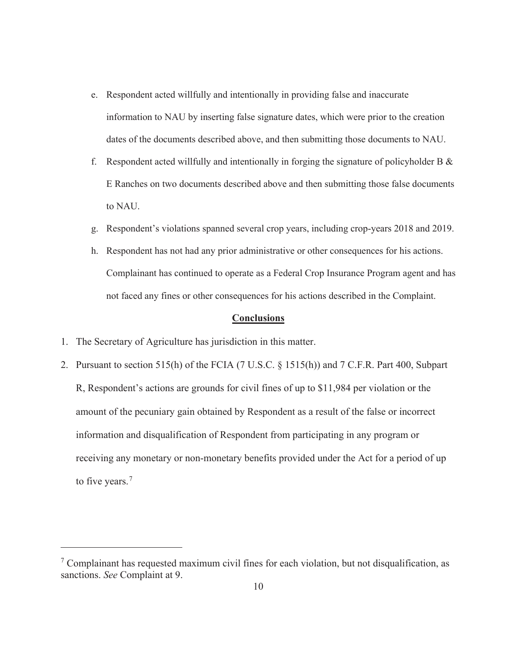- e. Respondent acted willfully and intentionally in providing false and inaccurate information to NAU by inserting false signature dates, which were prior to the creation dates of the documents described above, and then submitting those documents to NAU.
- f. Respondent acted willfully and intentionally in forging the signature of policyholder B  $\&$ E Ranches on two documents described above and then submitting those false documents to NAU.
- g. Respondent's violations spanned several crop years, including crop-years 2018 and 2019.
- h. Respondent has not had any prior administrative or other consequences for his actions. Complainant has continued to operate as a Federal Crop Insurance Program agent and has not faced any fines or other consequences for his actions described in the Complaint.

#### **Conclusions**

- 1. The Secretary of Agriculture has jurisdiction in this matter.
- 2. Pursuant to section 515(h) of the FCIA (7 U.S.C. § 1515(h)) and 7 C.F.R. Part 400, Subpart R, Respondent's actions are grounds for civil fines of up to \$11,984 per violation or the amount of the pecuniary gain obtained by Respondent as a result of the false or incorrect information and disqualification of Respondent from participating in any program or receiving any monetary or non-monetary benefits provided under the Act for a period of up to five years. $<sup>7</sup>$ </sup>

 $7$  Complainant has requested maximum civil fines for each violation, but not disqualification, as sanctions. *See* Complaint at 9.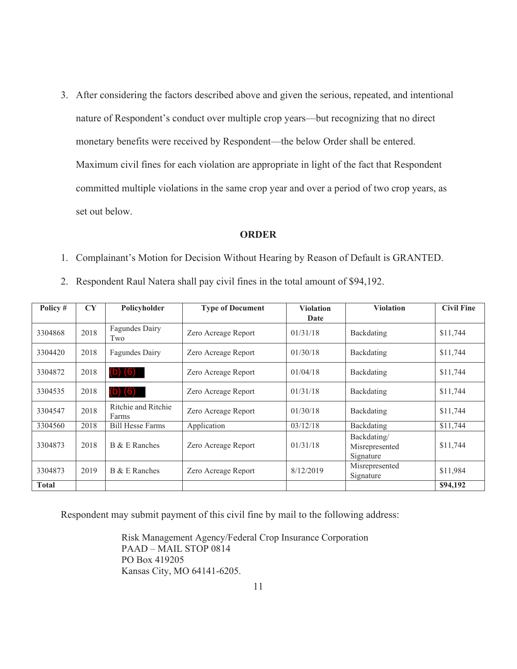3. After considering the factors described above and given the serious, repeated, and intentional nature of Respondent's conduct over multiple crop years—but recognizing that no direct monetary benefits were received by Respondent—the below Order shall be entered. Maximum civil fines for each violation are appropriate in light of the fact that Respondent committed multiple violations in the same crop year and over a period of two crop years, as set out below.

#### **ORDER**

- 1. Complainant's Motion for Decision Without Hearing by Reason of Default is GRANTED.
- 2. Respondent Raul Natera shall pay civil fines in the total amount of \$94,192.

| Policy #     | CY   | Policyholder                 | <b>Type of Document</b> | <b>Violation</b> | <b>Violation</b>                           | <b>Civil Fine</b> |
|--------------|------|------------------------------|-------------------------|------------------|--------------------------------------------|-------------------|
|              |      |                              |                         | Date             |                                            |                   |
| 3304868      | 2018 | Fagundes Dairy<br>Two        | Zero Acreage Report     | 01/31/18         | Backdating                                 | \$11,744          |
| 3304420      | 2018 | Fagundes Dairy               | Zero Acreage Report     | 01/30/18         | Backdating                                 | \$11,744          |
| 3304872      | 2018 | $(b)$ $(6)$                  | Zero Acreage Report     | 01/04/18         | Backdating                                 | \$11,744          |
| 3304535      | 2018 | $(b)$ $(6)$                  | Zero Acreage Report     | 01/31/18         | Backdating                                 | \$11,744          |
| 3304547      | 2018 | Ritchie and Ritchie<br>Farms | Zero Acreage Report     | 01/30/18         | Backdating                                 | \$11,744          |
| 3304560      | 2018 | <b>Bill Hesse Farms</b>      | Application             | 03/12/18         | Backdating                                 | \$11,744          |
| 3304873      | 2018 | B & E Ranches                | Zero Acreage Report     | 01/31/18         | Backdating/<br>Misrepresented<br>Signature | \$11,744          |
| 3304873      | 2019 | B & E Ranches                | Zero Acreage Report     | 8/12/2019        | Misrepresented<br>Signature                | \$11,984          |
| <b>Total</b> |      |                              |                         |                  |                                            | \$94,192          |

Respondent may submit payment of this civil fine by mail to the following address:

Risk Management Agency/Federal Crop Insurance Corporation PAAD – MAIL STOP 0814 PO Box 419205 Kansas City, MO 64141-6205.